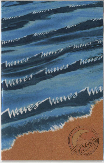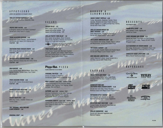### **APPETIZERS**

platter size appetizers are enough to share!

GRILLED CHICKEN QUESADILLA 4.50 Hot and Smoky, Served with Guacamole, Salsa and Sour Cream

PACIFIC RIM FLAUTAS 4.50 A Delightful Blend of East Meets Southwest! Served with Zesty Santa Fe Sauce

**TEXAS JALAPEÑO POPPERS** 4.95 Stuffed with Three Cheeses, Tequila-Battered and Served with Sweet Chili Dipping Jam PLATTER 7.95

SOUTHERN-FRIED CHICKEN CRISPS 4.95 With Honey-Mustard and Barbecue Sauces PLATTER 7.95

**BUFFALO-STYLE CHICKEN WINGS 4.95** Spicy, with Blue Cheese Dip and Celery Sticks PLATTER 6.50

#### **BAJA NACHOS 4.95** Crisp Tortilla Chips, Refried Beans, Spicy Chili, Melted Cheddar, Tomato Salsa, Sour Cream and Jalapeño

**FRIED ZUCCHINI STICKS 3.95** Served with Creamy Horseradish Sauce PLATTER 6.95

**BARBECUED BABY BACK RIBS 6.95 Basted in Smoky Barbecue Sauce** 

**HEARTY BEAN CHILI 3.50** With Sour Cream, Cheddar Cheese and **Tortilla Chips** 

THE "ORIGINAL" NEW ENGLAND **CLAM CHOWDER** 2.95

#### SALANS

CAESAR SALAD 3.25 With Creamy Caesar Dressing topped with grilled chicken 7.75 topped with grilled shrimp 9.75

**GRILLED PACIFIC TUNA SALAD 7.95** With Tender String Beans, Roma Tomatoes, Black Olives, Red Bliss Potatoes and Romaine. Tossed in a Light Herb Vinaigrette

**Contractions** 

Well-  $y_{01}$  approximately: 522 calories, 83 mg cholesterol,<br>17 g fal. 55 g protein, 602 mg sodium

FRIED FAJITA SALAD 6.50 Fresh Greens Tossed with Marinated Sauteed Chicken, Jalapeño-Jack Cheese, Sweet Peppers and Fried Tortilla Strips in a Tangy Southwestern Dressing. Topped with a Texas Popper

# Pizza-Hut. PIZZA

freshiv baked here in our kitchen

PERSONAL PAN PIZZA 7.95 Choice of Cheese or Pepperoni. Served with Caesar Salad or Seasonal Soup

MEAT LOVER'S<sup>®</sup> small 8.50 medium 10.50 **Hearty Combination of Six Delicious Meats:** Pepperoni, Beef Topping, Pork Topping, Italian Sausage, Ham and Bacon

SUPREME small 8.50 medium 10.50 Delicious Combination of Six Tasty Toppings: Pepperoni, Beef Topping, Pork Topping, Mushrooms, Onions and Green Peppers

PEPPERONI LOVER'S\* small 8.50 medium 10.50 Layered with an Extra Portion of Pepperoni plus Extra Cheese for More than One Pepperoni in **Every Bite!** 

A the

#### **BURGER &** SANDWICHES

**WAVES TURKEY TORTILLA 6.50** Turkey, Mozzarella, Muenster, Tomato, Onion Sprouts, Romaine and Zesty French Dressing Rolled Together in a Lightly Grilled Flour Tortilla. Served with Potato Chips

**GRILLED CHICKEN BREAST ON BASIL FOCCACIA 6.95** Pesto Mayonnaise, Tomato and Mozzarella, Served with Mega Crunch French Fries™

THE CLASSIC AMERICAN CLUB 5.95 Triple-Decker with Turkey, Tomato, Bacon, Lettuce and Mayonnaise, Served with Potato Chips

THE DOUBLE BURGER 6.95 Double Burgers, Double Cheese and Double Bacon! Served with Mega Crunch French Fries™

**NEW ENGLAND LOBSTER ROLL 9.95** Lightly Seasoned Lobster Salad Stuffed into a Soft Roll, Served with Potato Chips

### ENTREES

POLLO, PESTO AND PENNE 8.95 Grilled Chicken, Penne Pasta, Fresh Roma Tomatoes and Pine Nuts Tossed in a Hearty **Pesto Sauce** 

**BARBECUED RIBS AND** SOUTHERN-FRIED CHICKEN CRISPS 11.95 Served with Cole Slaw, Honey Mustard, Barbecue Sauce and Mega Crunch French Fries™

ROTISSERIE-STYLE CHICKEN 9.95 Herb-Roasted Half Chicken Served with Mashed Potatoes and Seasonal Vegetables

**BARBECUED BABY BACK RIBS 13.95** Cooked Tender, Served with Cole Slaw and Mega Crunch French Fries™

GRILLED SWORDFISH 10.95 Served with Seasonal Vegetables and **Mashed Potatoes** 

#### **DESSERTS** big enough to share

**WARM APPLE CRISP** 2.95 With Oatmeal Crumb Topping and Vanilla Ice Cream

**FUDGY BROWNIE AND CREAM 3.25** Vanilla Ice Cream Piled High on a Rich Brownie Covered with Hot Fudge. Topped off with Freshly Whipped Cream

**OLD-FASHIONED ICE CREAM SUNDAE 2.95** Hot Fudge, Butterscotch or Strawberry Sauce over Vanilla, Chocolate or Chocolate Chip Ice Cream

CHOCOLATE FUDGE LAYER CAKE 2.95 With a Kiss of Vanilla Ice Cream

# **BEVERAGES**

 $G<sup>T</sup>$ <sup>"</sup> "Bean ♦